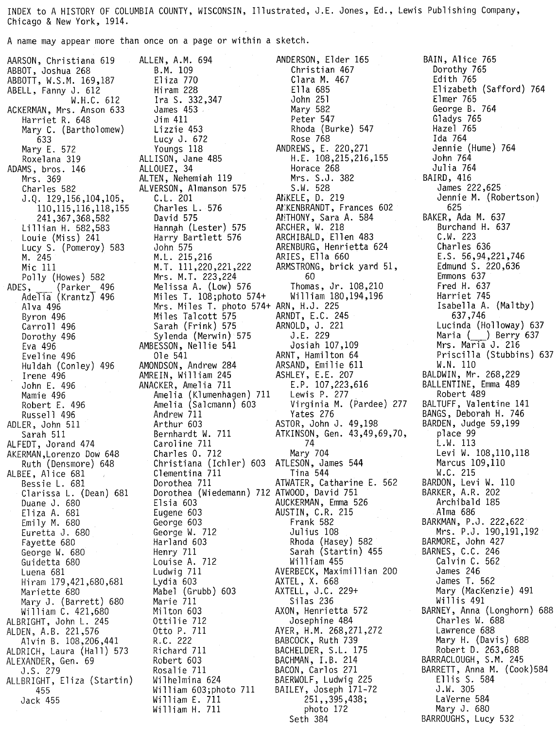INDEX to A HISTORY OF COLUMBIA COUNTY, WISCONSIN, Illustrated, J.E. Jones, Ed., Lewis Publishing Company, Chicago & New York, 1914.

A name may appear more than once on a page or within a sketch.

AARSON, Christiana 619 ABBOT, Joshua 268 ABBOTT, W.S.M. 169,187 ABELL, Fanny J. 612 W.H.C. 612 ACKERMAN, Mrs. Anson 633 Harriet R. 648 Mary C. (Bartholomew) 633 Mary E. 572 Roxelana 319 ADAMS, bros. 146 Mrs. 369 Charles 582 J.Q. 129,156,104,105, 110,115,116,118,155 241,367,368,582 Lillian H. 582,583 Louie (Miss) 241 Lucy S. (Pomeroy) 583 M. 245 Mic 111 Polly (Howes) 582<br>ADES, (Parker 49 ADES, Parker 496 Adelia (Krantz} 496 Alva 496 Byron 496 Carroll 496 Dorothy 496 Eva 496 Evel ine 496 Huldah (Conley) 496 Irene 496 John E. 496 Mamie 496 Robert E. 496 Russell 496 ADLER, John 511 Sarah 511 ALFEDT, Jorand 474 AKERMAN,Lorenzo Dow 648 Ruth (Densmore) 648 ALBEE, Alice 681  $\mathcal{L}^{\pm}$ Bessie L. 681 Clarissa L. (Dean) 681 Duane J. 680 Eliza A. 681 Emily M. 680 Euretta J. 680 Fayette 680 George W. 680 Guidetta 680 Luena 681 Hiram 179,421,680,681 Mariette 680 Mary J. (Barrett) 680 William C. 421,680 ALBRIGHT, John L. 245 ALDEN, A.B. 221,576 Alvin B. 108,206,441 ALDRICH, Laura (Hall) 573 ALEXANDER, Gen. 69 J.S. 279 ALLBRIGHT, Eliza (Startin) 455 Jack 455

ALLEN, A.M. 694 **ANDERSON, Elder 165**<br>B.M. 109 **Christian 467** B.M. 109 Christian 467 Hiram 228 Ella 685 Ira S. 332,347 John 251 James 453<br>Jim 411 Jim 411 Peter 547 Lucy J. 672<br>Youngs 118 Youngs 118 **ANDREWS, E. 220,271**<br>ALLISON, Jane 485 **H.E. 108,215,216**, ALLOUEZ, 34 Horace 268 ALTEN, Nehemiah 119 Mrs. S.J.<br>ALVERSON, Almanson 575 S.W. 528 ALVERSON, Almanson 575<br>C.L. 201 C.L. 201 AtjKELE, D. 219 Hannah (Lester) 575 ARCHER, W. 218<br>Harry Bartlett 576 ARCHIBALD, Ellen 483 Harry Bartlett 576<br>John 575 John 575 ARENBURG, Henrietta 624 M.L. 215,216 ARIES, Ella 660<br>M.T. 111,220,221,222 ARMSTRONG, brick Mrs. M.T. 223,224 60<br>Melissa A. (Low) 576 Thomas, Jr. 108,210 Melissa A. (Low) 576 Thomas, Jr. 108,210 Miles T.  $108$ ; photo  $574+$ Mrs. Miles T. photo 574+ ARN, H.J. 225 Miles Talcott 575 ARNDT, E.C. 245<br>Sarah (Frink) 575 ARNOLD, J. 221 Sylenda (Merwin) 575 J.E. 229<br>ESSON, Nellie 541 Josiah 107,109 AMBESSON, Nellie 541<br>Ole 541 AMONDSON, Andrew 284 AMREIN, William 245<br>ANACKER, Amelia 711 Amelia (Klumenhagen) 711 Lewis P. 277 . Andrew 711 Yates 276<br>Arthur 603 ASTOR, John Arthur 603 <br>Bernhardt W. 711 <br>ATKINSON, Gen. 43,49,0 Caroline 711 74<br>Charles 0. 712 Mary 704 Charles 0. 712 Christiana (Ichler) 603 ATLESON, James 544 Clementina 711<br>Dorothea 711 Dorothea (Wiedemann) 712 ATWOOD, David 751 Eugene 603 AUSTIN, C.R. 215 George 603 Frank 582 George W. 712 Harland 603 Rhoda (Hasey) 582 Henry 711 Sarah (Startin) 455 Louise A. 712 William 455 Lydia 603 AXTEL, X. 668 Mabel (Grubb) 603 AXTELL, J.C. 229+ Marie 711 Silas 236<br>Milton 603 AXON, Henrie Ottilie 712 Josephine 484<br>Otto P. 711 AYER, H.M. 268,2 Otto P. 711 AYER, H.M. 268, 271, 272<br>R.C. 222 BABCOCK, Ruth 739 R.C. 222 BABCOCK, Ruth 739<br>Richard 711 BACHELDER, S.L. 17 Robert 603 BACHMAN, I.B. 214 Rosalie 711 BACON, Carlos 271 Wilhelmina 624 BAERWOLF, Ludwig 225 William 603;photo 711 BAILEY, Joseph 171-72<br>William E. 711 251,,395,438; William H. 711 photo 172

Clara M. 467<br>Ella 685 Rhoda (Burke) 547<br>Rose 768 H.E. 108, 215, 216, 155<br>Horace 268 Charles L. 576 AM:KENBRANDT, Frances 602<br>David 575 AM:THONY, Sara A. 584 AMTHONY, Sara A. 584<br>ARCHER, W. 218 ARMSTRONG, brick yard 51,<br>60 ARNOLD, J. 221<br>J.E. 229 ARNT, Hamilton 64 ARSAND, Emilie 611<br>ASHLEY, E.E. 207<br>E.P. 107,223,616<br>Lewis P. 277 Amelia (Salcmann) 603 Virginia M. (Pardee) 277 ATKINSON, Gen. 43,49,69,70, ATWATER, Catharine E. 562 AUCKERMAN, Emma 526 AVERBECK, Maximillian 200 AXON, Henrietta 572 BACHELDER, S.L. 175 251,,395,438; Seth 384

BAIN, Alice 765 Dorothy 765 Edith 765 Elizabeth (Safford) 764 Elmer 765 George B. 764 Gladys 765 Hazel 765 Ida 764 Jennie (Hume) 764 John 764 Julia 764 BAIRD, 416 James 222,625 Jennie M. (Robertson) 625 BAKER, Ada M. 637 Burchand H. 637 C.W. 223 Charles 636 E.S. 56,94,221,746 Edmund S. 220,636 Emmons 637 Fred H. 637 Harriet 745 Isabella A. (Maltby) 637,746 Lucinda (Holloway) 637 Maria ( ) Berry 637 Mrs. Maria J. 216 Priscilla (Stubbins) 637 W.N. 110 BALDWIN, Mr. 268,229 BALLENTINE, Emma 489 Robert 489 BALTUFF, Valentine 141 BANGS, Deborah H. 746 BARDEN, Judge 59,199 place 99 L.W. 113 Levi W. 108,110,118 Marcus 109,110 W.C. 215 BARDON, Levi W. 110 BARKER, A.R. 202 Archibald 185 Alma 686 BARKMAN, P.J. 222,622 Mrs. P.J. 190,191,192 BARMORE, John 427 BARNES, C.C. 246 Calvin C. 562 James 246 James T. 562 Mary (MacKenzie) 491 Willis 491 BARNEY, Anna (Longhorn) 688 Charles W. 688 Lawrence 688 Mary H. (Davis) 688 Robert D. 263,688 BARRACLOUGH, S.M. 245 BARRETT, Anna M. (Cook)584 Ellis S. 584 J.W. 305 LaVerne 584 Mary J. 680 BARROUGHS, Lucy 532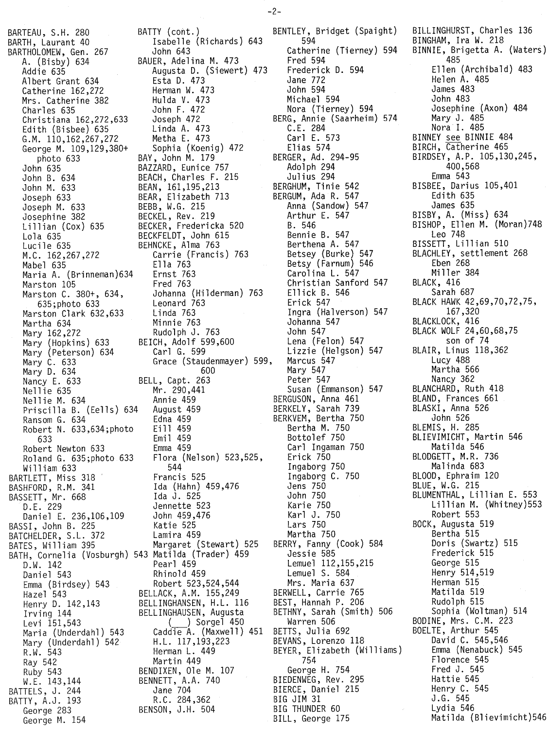BARTEAU, S.H. 280 BARTH, Laurant 40 BARTHOLOMEW, Gen. 267 A. (Bisby) 634 Addie 635 Albert Grant 634 Catherine 162,272 Mrs. Catherine 382 Charles 635 Christiana 162,272,633 Edith (Bisbee) 635 G.M. 110,162,267,272 George M. 109,129,380+ photo 633 John 635 John B. 634 John M. 633 Joseph 633 Joseph M. 633 Josephine 382 Lillian (Cox) 635 Lola 635 Lucile 635 M.C. 162,267,272 Mabel 635 Maria A. (Brinneman)634 Marston 105 Marston C. 380+, 634, 635;photo 633 Marston Clark 632,633 Martha 634 Mary 162,272 Mary (Hopkins) 633 Mary (Peterson) 634 Mary C. 633 Mary D. 634 Nancy E. 633 Nell ie 635 Nellie M. 634 Priscilla B. (Eells) Ransom G. 634 Robert N. 633,634;photo 633 Robert Newton 633 Roland G. 635;photo 633 William 633 BARTLETT, Miss 318 BASHFORD, R.M. 341 BASSEIT, Mr. 668 D. E. 229 Daniel E. 236,106,109 BASSI, John B. 225 BATCHELDER, S.L. 372 BATES, William 395 BATH, Cornelia (Vosburgh) D.W. 142 Daniel 543 Emma (Birdsey) 543 Hazel 543 Henry D. 142,143 Irving 144 Levi 151,543 Maria (Underdahl) 543 Mary (Underdahl) 542 R.W. 543 Ray 542 Ruby 543 W. E. 143,144 BATTELS, J. 244 BATTY, A.J. 193 George 283 George M. 154

BATTY (cont.) Isabelle (Richards) 643 John 643 BAUER, Adelina M. 473 Augusta D. (Siewert) 473 Esta D. 473 Herman W. 473 Hulda V. 473 John F. 472 Joseph 472 Linda A. 473 Metha E. 473 Sophia (Koenig) 472 BAY, John M. 179 BAZZARD, Eunice 757 BEACH, Charles F. 215 BEAN, 161,195,213 BEAR, Elizabeth 713 BEBB, W.G. 215 BECKEL, Rev. 219 BECKER, Fredericka 520 BECKFELDT, John 615 BEHNCKE, Alma 763 Carrie (Francis) 763 Ella 763 Ernst 763 Fred 763 Johanna (Hilderman) 763 Leonard 763 Linda 763 Minnie 763 Rudolph J. 763 BElCH, Adolf 599,600 Carl G. 599 Grace (Staudenmayer) 599, 600 BELL, Capt. 263 Mr. 290,441 Annie 459 August 459 Edna 459 Ei11 459 Emil 459 Emma 459 Flora (Nelson) 523,525, 544 Francis 525 Ida (Hahn) 459,476 Ida J. 525 Jennette 523 John 459,476 Katie 525 Lamira 459 Margaret (Stewart) 525 543 Matilda (Trader) 459 Pearl 459 Rhinold 459 Robert 523,524,544 BELLACK, A.M. 155,249 BELLINGHANSEN, H.L. 116 BELLINGHAUSEN, Augusta  $($   $)$  Sorgel 450 Caddie A. (Maxwell) 451 BETTS, Julia 692 H.L. 117,193,223 Herman L. 449 Martin 449 BENDIXEN, Ole M. 107 BENNETT, A.A. 740 Jane 704 R.C. 284,362 BENSON, J.H. 504

BENTLEY, Bridget (Spaight) 594 Catherine (Tierney) 594 Fred 594 Frederick D. 594 Jane 772 John 594 Michael 594 Nora (Tierney) 594 BERG, Annie (Saarheim) 574 C.E. 284 Carl E. 573 Elias 574 BERGER, Ad. 294-95 Adolph 294 Julius 294 BERGHUM, Tinie 542 BERGUM, Ada R. 547 Anna (Sandow) 547 Arthur E. 547 B. 546 Bennie B. 547 Berthena A. 547 Betsey (Burke) 547 Betsy (Farnum) 546 Carolina L. 547 Christian Sanford 547 Ellick B. 546 Erick 547 Ingra (Halverson) 547 Johanna 547 John 547 Lena (Felon) 547 Lizzie (Helgson) 547 Marcus 547 Mary 547 Peter 547 Susan (Emmanson) 547 BERGUSON, Anna 461 BERKELY, Sarah 739 BERKVEM, Bertha 750 Bertha M. 750 Bottolef 750 Carl Ingaman 750 Erick 750 Ingaborg 750 Ingaborg C. 750 Jens 750 John 750 Karie 750 Karl J. 750 Lars 750 Martha 750 BERRY, Fanny (Cook) 584 Jessie 585 Lemuel 112,155,215 Lemuel S. 584 Mrs. Maria 637 BERWELL, Carrie 765 BEST, Hannah P. 206 BETHNY, Sarah (Smith) 506 Warren 506 BEVANS, Lorenzo 118 BEYER, Elizabeth (Williams) 754 George H. 754 BIEDENWEG, Rev. 295 BIERCE, Daniel 215 BIG JIM 31 BIG THUNDER 60 BILL, George 175

BILLINGHURST, Charles 136 BINGHAM, Ira W. 218 BINNIE, Brigetta A. (Waters) 485 Ellen (Archibald) 483 Helen A. 485 James 483 John 483 Josephine (Axon) 484 Mary J. 485 Nora I. 485 BINNEY see BINNIE 484 BIRCH, Catherine 465 BIRDSEY, A.P. 105,130,245, 400,568 Emma 543 BISBEE, Darius 105,401 Edith 635 James 635 BISBY, A. (Miss) 634 BISHOP, Ellen M. (Moran)748 Leo 748 BISSETT, Lillian 510 BLACHLEY, settlement 268 Eben 268 Mi 11er 384 BLACK, 416 Sarah 687 BLACK HAWK 42,69,70,72,75, 167,320 BLACKLOCK, 416 BLACK WOLF 24,60,68,75 son of 74 BLAIR, Linus 118,362 Lucy 488 Martha 566 Nancy 362 BLANCHARD, Ruth 418 BLAND, Frances 661 BLASKI, Anna 526 John 526 BLEMIS, H. 285 BLIEVIMICHT, Martin 546 Matilda 546 BLODGETT, M.R. 736 Malinda 683 BLOOD, Ephraim 120 BLUE, W.G. 215 BLUMENTHAL, Lillian E. 553 Lillian M. (Whitney)553 Robert 553 BOCK, Augusta 519 Bertha 515 Doris (Swartz) 515 Frederick 515 George 515 Henry 514,519 Herman 515 Matilda 519 Rudolph 515 Sophia (Woltman) 514 BODINE, Mrs. C.M. 223 BOELTE, Arthur 545 David C. 545,546 Emma (Nenabuck) 545 Florence 545 Fred J. 545 Hattie 545 Henry C. 545 J .G. 545 Lydia 546 Matilda (Blievimicht)546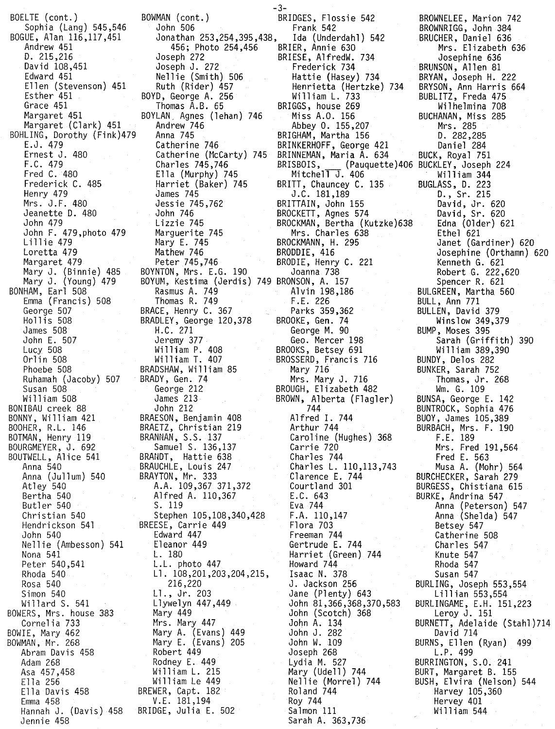BOELTE (cont.) Sophia (Lang) 545,546 BOGUE, Alan 116,117,451 D. 215,216 D. 218,210<br>D. 1130 David 108,451 Edward 451 Ellen (Stevenson) 451 Esther 451 Grace 451 ~1argaret 451 Margaret (Clark) 451 BOHLING, Dorothy (Fink)479<br>E.J. 479 E.V. 479<br>E Ernest J. 480  $F \cdot C \cdot 479$ rred **C.** 480 Frederick C. 485 Henry 479 Mrs. J.F. 480 Jeanette D. 480 John 479 John F. 479,photo 479 Lillie 479 Loretta 479 Margaret 479 Mary J. (Binnie) 485 Mary J. (Young) 479 BONHAM, Earl 508 Emma (Francis) 508 George 507 Hollis 508 James 508 John E. 507 Lucy 508 Orlin 508 Phoebe 508 Ruhamah (Jacoby) 507 Susan 508 Wi11iam 508 BONIBAU creek 88 BONNY, William 421 BOOHER, R.L. 146 BOTMAN, Henry 119 BOURGMEYER, J. 692 BOUTWELL, Alice 541 Anna 540 Anna (Jullum) 540 Atley 540 Bertha 540 Butler 540 Christian 540 Hendrickson 541 John 540 Nellie (Ambesson) 541 Nona 541 Peter 540,541 Rhoda 540 Rosa 540 Simon 540 Willard S. 541 BOWERS, Mrs. house 383 Cornelia 733 BOWIE, Mary 462 BOWMAN, Mr. 268 Abram Davis 458 Adam 268 Asa 457,458 Ella 256 Ella Davis 458 Emma 458 Hannah J. (Davis) 458 Jennie 458

Joseph 272 BRIESE, AlfredW. 734<br>Joseph J. 272 Frederick 734 Jessie 745,762 BRITTAIN, John 155<br>John 746 BROCKETT, Agnes 57 John 746 BROCKETT, Agnes 574<br>Lizzie 745 BROCKMAN, Bertha (Ku William P. 408 BROOKS, Betsey 691<br>William T. 407 BROSSERD, Francis William T. 407 BROSSERD, Francis 716<br>BRADSHAW, William 85 Mary 716 BRADY, Gen. 74 Mrs. Mary J. 716 Thomas, Jr. 268 Stephen 105,108,340,428 F.A. 110,147 Anna (Shelda) 547

-3-<br>BRIDGES, Flossie 542 BOWMAN (cont.) BRIDGES, Flossie 542 BROWNELEE, Marion 742 Frank 542 BROWNRIGG, John 384<br>Ida (Underdahl) 542 BRUCHER, Daniel 636 Jonathan 253,254,395,438, Ida (Underdahl) 542 BRUCHER, Daniel 636 456; Photo 254,456 BRIER, Annie 630 Mrs. Elizabet<br>Joseph 272 BRIESE, AlfredW. 734 Josephine 636 Joseph J. 272 Frederick 734 BRUNSON, Allen 81 Nellie (Smith) 506 Hattie (Hasey) 734 BRYAN, Joseph H. 222 Ruth (Rider) 734 BRYSON, Ann Harris William L. 733 BOYD, George A. 256 William L. 733 BUBLITZ, Freda 475<br>Thomas A.B. 65 BRIGGS, house 269 Wilhelmina 708 The BRIGGS, house 269 Wilhelmina 708<br>Miss A.O. 156 BUCHANAN, Miss 285 BOYLAN. Agnes (lehan) 746 Miss A.O. 156 BUCHANAN, Miss 285 Andrew 746 Abbey O. 155,207 Mrs. 285 Anna 745 BRIGHAM, Martha 156 D. 282,285 Catherine 746 BRINKERHOFF, George 421 Daniel 284<br>Catherine (McCarty) 745 BRINNEMAN, Maria A. 634 BUCK, Royal 751 Catherine U1cCarty) 745 BRINNEMAN, Maria A. 634 BUCK, Royal 751 Charles 745,746 BRISBOIS, (Pauquette)406 BUCKLEY, Joseph 224 Ella (Murphy) 745 Mitchel,-}. 406 William 344 Harriet (Baker) 745 BRITT, Chauncey C. 135 BUGLASS, D. 223 dames 745 (181,189 )<br>
J.C. 181,189 (1.5r. 215 )<br>
John 746 (181) BROCKETT, Agnes 574 (181) David, Sr. 620<br>
Lizzie 745 (181) BROCKMAN, Bertha (Kutzke)638 Edna (Older) 621 Lizzie 745 BROCKMAN, Bertha (Kutzke)638 Edna (Older) 621 Marguerite 745 Mrs. Charles 638 Ethel 621 Peter 745,746 BRODIE, Henry C. 221 Kenneth G. 621 BOYNTON, Mrs. E.G. 190 Joanna 738 Robert G. 222,620 BOYUM, Kestima (Jerdis) 749 BRONSON, A. 157 Spencer R. 621<br>Rasmus A. 749 Alvin 198,186 BULGREEN, Martha 5 Rasmus A. 749 Alvin 198,186 BULGREEN, Martha 560 F.E. 226 BULL, Ann 771<br>Parks 359,362 BULLEN, David 379 BRACE, Henry C. 367 Parks 359,362 BULLEN, David 379 BRADLEY, George 120,378 BROOKE, Gen. 74 Winslow 349,379 H.C. 271 George M. 90 BUMP, Moses 395 Jeremy 377 Geo. Mercer 198 Sarah (Griffith) 390 William T. 407 BROSSERD, Francis 716 BUNDY, Delos 282<br>
BRADSHAW, William 85 Mary 716 BUNKER, Sarah 752<br>
BRADY, Gen. 74 Mrs. Mary J. 716 Thomas, Jr. 268<br>
George 212 BROUGH, Elizabeth 482 Wm. G. 109 George 212 BROUGH, Elizabeth 482 Wm. G. 109 James 213 BROWN, Alberta (Flagler) BUNSA, George E. 142 John 212 744 BUNTROCK, Sophia 476 BRAESON, Benjamin 408 (Alfred I. 744 (BUOY, James 105,389)<br>BRAETZ, Christian 219 (Arthur 744 (BURBACH, Mrs. F. 190) BRAETZ, Christian 219 Arthur 744 BURBACH, Mrs. F. 190 BRANNAN, S.S. 137 Caroline (Hughes) 368 F.E. 189 Samuel S. 136,137 Carrie 720 Mrs. Fred 191,564 BRMDT, Hattie 638 Charles 744 Fred E. 563 BRAUCHLE, Louis 247 Charles L. 110,113,743 Musa A. (Mohr) 564 BRAYTON, Mr. 333 Clarence E. 744 BURCHECKER, Sarah 279 Courtland 301 BURGESS, Chistiana 615<br>E.C. 643 BURKE, Andrina 547 Alfred A. 110,367 E.C. 643 BURKE, Andrina 547 S. 119 Eva 744 Anna (Peterson) 547 BREESE, Carrie 449 Flora 703 Betsey 547 Edward 447 Freeman 744 Catherine 508 Eleanor 449 Gertrude E. 744 Charles 547 L. 180 Harriet (Green) 744 Knute 547 L.L. photo 447 Howard 744 Rhoda 547 Ll. 108,201,203,204,215, Isaac N. 378 Susan 547 216,220 J. Jackson 256 BURLING, Joseph 553,554 Ll., Jr. 203 Jane (Plenty) 643 Lillian 553,554 Llywelyn 447,449 John 81,366,368,370,583 BURLINGAME, E.H. 151,223 dohn (Scotch) 368 Leroy J. 151<br>John A. 134 BURNETT, Adelaid<br>John J. 282 David 714<br>John W. 109 BURNS, Ellen (Rya Mary A. (Evans) 449 John J. 282 David 714 Robert 449 Joseph 268 L.P. 499 Rodney E. 449 Lydia M. 527 BURRINGTON, S.O. 241 William L. 215 Mary (Udell) 744 BURT, Margaret B. 155 William Le 449 Mellie (Morrel) 744 BUSH, Elvira (Nelson) 544 REWER, Capt.  $182$  Roland 744 Harvey 105,360 V.E. 181,194 Roy 744 Hervey 401 BRIDGE, Julia E. 502 Salmon 111 William 544 Sarah A. 363,736

Mary E. 745 BROCKMANN, H. 295 Janet (Gardiner) 620 Mathew 746 BRODDIE, 416 Josephine (Orthamn) 620 BURNETT, Adelaide (Stahl)714 BURNS, Ellen (Ryan) 499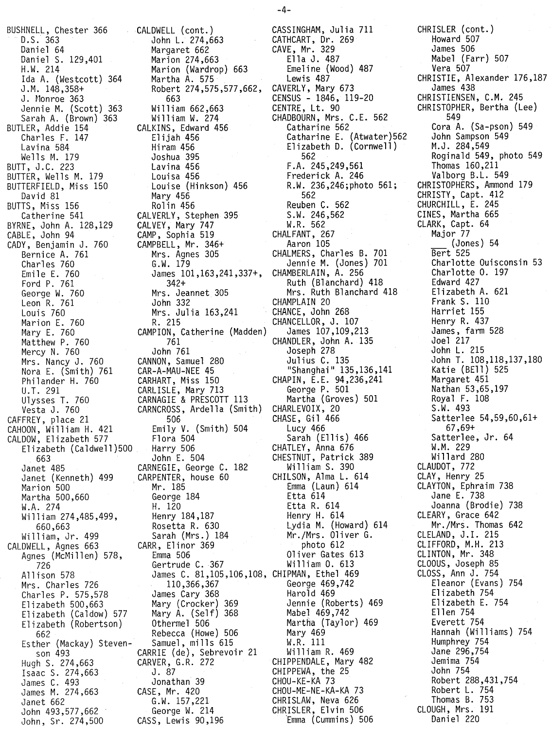BUSHNELL, Chester 366 CALDWELL (cont.)<br>D.S. 363 John L. 274,66 D.S. 363 John L. 274,663 Daniel S. 129,401<br>H.W. 214 Ida A. (Westcott) 364<br>J.M. 148,358+ J. Monroe 363 663<br>Jennie M. (Scott) 363 William 662,663 Jennie M. (Scott) 363 William 662,663 Sarah A. (Brown) 363<br>BUTLER, Addie 154 Charles F. 147<br>Lavina 584 Wells M. 179 Joshua 395<br>T, J.C. 223 Lavina 456 BUTT, J.C. 223 Lavina 456 BUTTER, Wells M. 179 Louisa 456 BUTTERFIELD, Miss 150<br>David 81 BUTTS, Miss 156<br>Catherine 541 BYRNE, John A. 128,129<br>CABLE, John 94 CADY, Benjamin J. 760<br>Bernice A. 761 Bernice A. 761 Mrs. Agnes 305 Charles 760<br>Emile E. 760 Emile E. 760 James 101,163,241,337+, Ford P. 761 342+<br>George W. 760 Mrs. Jea Leon R. 761<br>Louis 760 Marion E. 760 Matthew P. 760 761<br>Mercy N. 760 761 Mercy N. 760 John 761 Mrs. Nancy J. 760 CANNON, Samuel 280 Nora E. (Smith) 761 CAR-A-MAU-NEE 45 Philander H. 760 CARHART, Miss 150 U.T. 291 CARLISLE, Mary 713 Ulysses T. 760 CARNAGIE & PRESCOTT 113 CAFFREY, place 21 506 CAHOON, William H. 421 Emily V. (CALDOW, Elizabeth 577 Flora 504 CALDOW, Elizabeth 577 Elizabeth (Caldwell)500 Harry 506 663 John E. 504 Janet 485 CARNEGIE, George C. 182 Janet (Kenneth) 499 CARPENTER,<br>Marion 500 Mr. 185 Marion 500 Mr. 185 Martha 500,660 George<br>W.A. 274 George H. 120  $W.A. 274$ William 274,485,499, Henry 184,187<br>660,663 Rosetta R. 630<br>William, Jr. 499 Sarah (Mrs.) 184<br>DWELL Agnes 663 CARR Flinor 369 William, Jr. 499 Sarah U1rs.) 184 CALDWELL, Agnes 663 CARR, Elinor<br>Agnes (McMillen) 578, Emma 506 Agnes (McMillen) 578, 726 Gertrude C.367 oames u. 81,105<br>Mrs. Charles 726 110,366,367<br>Charles P. 575,578 James Cary 368 Charles P. 575,578<br>Elizabeth 500,663 Elizabeth (Caldow) 577 Mary A. (Seli<br>Elizabeth (Robertson) 0thermel 506 Elizabeth (Robertson) 662 Rebecca (Howe) 506 Esther (Mackay) Steven-Hugh S. 274,663 CARVER, G.R. 272 Isaac S. 274,663 J. 87<br>James C. 493 Jonathan 39 James C. 493 Jonathan 39 James M. 274,663 Janet 662 G.W. 157,221 John 493,577,662<br>John, Sr. 274,500 CASS, Lewis 90,196 John, Sr. 274,500

 $\sim 10^7$ Margaret 662<br>Marion 274,663 Marion (Wardrop) 663<br>Martha A. 575 J.M. 148,358+ Robert 274,575,577,662, CAVERLY, Mary 673 CALKINS, Edward 456<br>Elijah 456 Hiram 456<br>Joshua 395 Mary 456<br>Rolin 456 CALVERLY, Stephen 395<br>CALVEY, Mary 747 CAMP, Sophia 519 Mrs. Jeannet 305<br>John 332 Mrs. Julia 163,241<br>R. 215 Mary E. 760 CAMPION, Catherine (Madden) Vesta J. 760 CARNCROSS, Ardella (Smith) Henry 184,187<br>Rosetta R. 630 Allison 578 James C. 81,105,106,108, CHIPMAN, Ethel 469 Mary (Crocker) 369<br>Mary A. (Self) 368 son 493 CARRIE (de), Sebrevoir 21

CASSINGHAM, Julia 711 CATHCART, Dr. 269 CAVE, Mr. 329 Ella J. 487 Emeline (Wood) 487 Lewis 487 CENSUS - 1846, 119-20 CENTRE, Lt. 90 CHADBOURN, Mrs. C.E. 562 Catharine 562 Catharine E. (Atwater)562 Elizabeth D. (Cornwell) 562 F.A. 245,249,561 Frederick A. 246 R.W. 236,246;photo 561; 562 Reuben C. 562 S.W. 246,562 W.R. 562 ooz<br>CHALFANT, 267<br>Aaron 105 Aaron 105 CHALMERS, Charles B. 701 Jennie M. (Jones) 701 CHAMBERLAIN, A. 256 Ruth (Blanchard) 418 Mrs. Ruth Blanchard 418 CHAMPLAIN 20 CHANCE, John 268 CHANCELLOR, J. 107 James 107,109,213 CHANDLER, John A. 135 Joseph 278 Jul ius C. 135 "Shanghai" 135,136,141 CHAPIN, E.E. 94,236,241 George P. 501 Martha (Groves) 501 CHARLEVOIX, 20 CHASE, Gil 466 Lucy 466 Sarah (Ellis) 466 CHATLEY, Anna 676 CHESTNUT, Patrick 389 William S. 390 CHILSON, Alma L. 614 Emma (Laun) 614 Etta 614 Etta R. 614 Henry H. 614 Lydia M. (Howard) 614 Mr./Mrs. Oliver G. photo 612 Oliver Gates 613 William O. 613 George 469,742 Harold 469 Jennie (Roberts) 469 Mabel 469,742 Martha (Taylor) 469 Mary 469 W.R. 111 Wi11iam R. 469 CHIPPENDALE, Mary 482 CHIPPEWA, the 25 CHOU-KE-KA 73 CHOU-ME-NE-KA-KA 73 CHRISLAW, Neva 626 CHRISLER, Elvin 506 'Emma (Cummins) 506

CHRISLER (cont.) Howard 507 James 506 Mabel (Farr) 507 Vera 507 CHRISTIE, Alexander 176,187 James 438 CHRISTIENSEN, C.M. 245 CHRISTOPHER, Bertha (Lee) 549 Cora A. (Sa-pson) 549 John Sampson 549 M.J. 284,549 Roginald 549, photo 549 Thomas 160,211 Valborg B.L. 549 CHRISTOPHERS, Ammond 179 CHRISTY, Capt. 412 CHURCHILL, E. 245 CINES, Martha 665 CLARK, Capt. 64 Major 77 (Jones) 54 Bert 525 Charlotte Ouisconsin 53 Charlotte O. 197 Edward 427 Elizabeth A. 621 Frank S. 110 Harriet 155 Henry R. 437 James, farm 528 Joel 217 John L. 215 John T. 108,118,137,180 Katie (BEll) 525 Margaret 451 Nathan 53,65,197 Royal F. 108 S.W. 493 Satterlee 54,59,60,61+ 67,69+ Satterlee, Jr. 64 W.M. 229 Willard 280 CLAUDOT, 772 CLAY, Henry 25 CLAYTON, Ephraim 738 Jane E. 738 Joanna (Brodie) 738 CLEARY, Grace 642 Mr./Mrs. Thomas 642 CLELAND, J.I. 215 CLIFFORD, M.H. 213 CLINTON, Mr. 348 CLOOUS, Joseph 85 CLOSS, Ann J. 754 Eleanor (Evans) 754 Elizabeth 754 Elizabeth E. 754 Ellen 754 Everett 754 Hannah (Williams) 754 Humphrey 754 Jane 296,754 Jemima 754 John 754 Robert 288,431,754 Robert L. 754 Thomas B. 753 CLOUGH, Mrs. 191 Daniel 220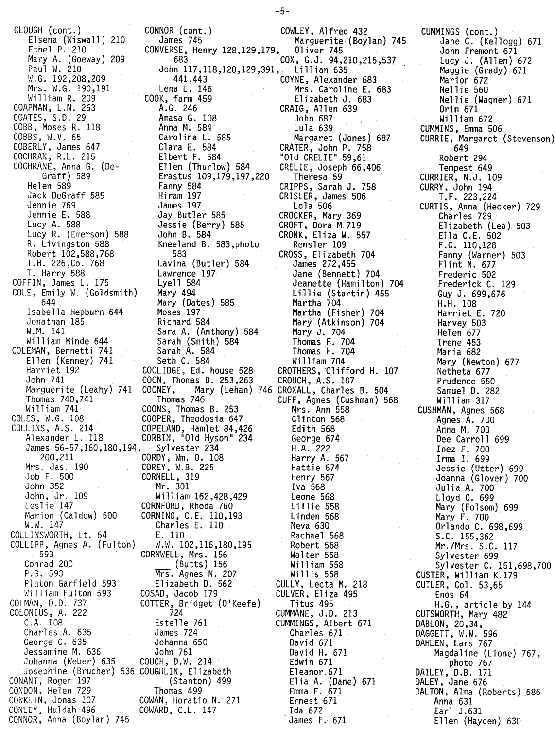CLOUGH (cont.) CONNOR (cont.) COWLEY, Alfred 432 COAPMAN, L.N. 263 A.G. 246 CRAIG, Allen 639 COATES, S.D. 29 Amasa G. 108 John 687 COBB, Moses R. 118 Anna M. 584 Lula 639 COBERLY, James 647 Clara E. 584 CRATER, John P. 758 COCHRAN, R.L. 215 Elbert F. 584 "Old CRELIE" 59,61 COCHRANE, Anna G. (De- Ellen (Thurlow) 584 CRELIE, Joseph 66,406 R. Livingston 588 Kneeland B. 583, photo<br>Robert 102, 588, 768 583 T.H. 226,Co. 768 Lavina (Butler) 584<br>T. Harry 588 Lawrence 197 T. Harry 588 Lawrence 197 Jane (Bennett) 704 COLE, Emily W. (Goldsmith) Mary 494 Lillie (St.<br>644 Mary (Dates) 585 Martha 704 644 Mary (Dates) 585<br>Isabella Hepburn 644 Moses 197 COLEMAN, Bennetti 741 Sarah A. 584 Sammas H. 704<br>Ellen (Kenney) 741 Seth C. 584 Seth Milliam 704 Ellen (Kenney) 741 Seth C. 584<br>Harriet 192 COOLIDGE, Ed. house 528 John 741 COON, Thomas B. 253,263 CROUCH, A.~. 107 William 741 COONS, Thomas B. 253 Mrs. Ann 558 COLES, W.G. 108 COOPER, Theodosia 647 Clinton 568 COLLINS, A.S. 214 COPELAND, Hamlet 84,426 Edith 568 COLLINSWORTH, Lt. 64 E. 110 Rachael 568 COLLIPP, Agnes A. (Fulton)<br>593 William Fulton 593 COSAD, Jacob 179 CULVER, Eliza 495<br>COLMAN, 0.D. 737 COTTER, Bridget (0'Keefe) Titus 495<br>COLONIUS, A. 222 724 CUMMANE, J.D. 213<br>C.A. 108 Estelle 761 CUMMINGS, Albert 6 COLONIUS, A. 222 724 CUMMANE, J.D. 213 CONANT, Roger 197 (Stanton) 499 Elia A. (Dan<br>CONDON, Helen 729 Thomas 499 Emma E. 671 CONKLIN, Jonas 107 COWAN, Horatio N. 271 Ernest 671<br>CONLEY, Huldah 496 COWARD, C.L. 147 Ida 672 CONLEY, Huldah 496 COWARD, C.L. 147 Ida 672

Elsena (Wiswall) 210 James 745 Marguerite (Boylan) 745 Ethel P. 210 CONVERSE, Henry 128,129,179, Oliver 745  $\frac{100}{100}$  Mary A. (Goeway) 209 683 683 COX, G.J. 94,210,215,33 Paul W. 210 John 117,118,120,129,391, Lillian 635<br>W.G. 192,208,209 441,443 COYNE, Alexande W.G. 192,208,209 441,443 COYNE, Alexander 683 Lena L. 146 Mrs. Caroline E. 683<br>COOK, farm 459 Elizabeth J. 683 William R. 209 COOK, farm 459 Elizabeth J. 6839 Elizabeth J. 6839 Elizabeth J. 6839 Elizabeth J. 6839 Elizabeth COBBS, W.V. 65 Carolina L. 585 Margaret (Jones) 687 Graff) 589 **Erastus 109,179,197,220**<br>Helen 589 **Fanny 584** Helen 589 Fanny 584 CRIPPS, Sarah J. 758 Jack DeGraff 589 Hiram 197 CRISLER, James 506 Jennie 769 James 197 Lola 506 Jennie E. 588 Jay Butler 585 CROCKER, Mary 369 Lucy A. 588 Jessie (Berry) 585 CROFT, Dora M.719 Lucy R. (Emerson) 588 John B. 584 CRONK, Eliza W. 557 Robert 102,588,768 583 CROSS, Elizabeth 704 COFFIN, James L. 175 Lyell 584 Jeanette (Hamilton) 704 Isabella Hepburn 644 Moses 197 Martha (Fisher) 704<br>Jonathan 185 Richard 584 Mary (Atkinson) 704 Jonathan 185 Richard 584 Mary (Atkinson) 704 W.M. 141 Sara A. (Anthony) 584 Mary J. 704 Sarah (Smith) 584<br>Sarah A. 584 Harriet 192 COOLIDGE, Ed. house 528 CROTHERS, Clifford H. 107 Marguerite (Leahy) 741 COONEY, Mary (Lehan) 746 CROXALL, Charles B. 504 Thomas 740,741 Thomas 746 CUFF, Agnes (Cushman) 568 Alexander L. 118 CORBIN, "Old Hyson" 234 George 674 James 56-57,160,180,194, Sylvester 234 H.A. 222 200,211 CORDY, Wm. O. 108 Harry A. 567 Mrs. Jas. 190 COREY, W.B. 225 Hattie 674 Job F. 500 CORNELL, 319 Henry 567 John 352 Mr. 301 Iva 568 John, Jr. 109 William 162,428,429 Leone 568 Leslie 147 CORNFORD, Rhoda 760 Lillie 558 Marion (Caldow) 500 CORNING, C.E. 110,193 Linden 568 \~.W. 147 Charles E. 110 Neva 630 593 CORNWELL, Mrs. 156 Walter 568 Conrad 200 (Butts) 156 Wi11iam 558 P.G.593 Mrs. Agnes N. 207 Willis 568 COTTER, Bridget (O'Keefe) Titus 495 C.A. 108 Estelle 761 CUMMINGS, Albert 671 Charles A. 635 James 724 Charles 671 George C. 635 Johanna 650 David 671 Jessamine M. 636 John 761 David H. 671 Johanna (Weber) 635 COUCH, D.W. 214 Edwin 671 Josephine (Brucher) 636 COUGHLIN, Elizabeth Eleanor 671 CONANT, Roger 197 (Stanton) 499 Elia A. (Dane) 671

Platon Garfield 593 Elizabeth D. 562 CULLY, Lecta M. 218 CONNOR, Anna (Boylan) 745 James F. 671

 $\hat{\mathcal{A}}$ 

CUMMINGS (cont.) Jane C. (Kellogg) 671 John Fremont 671 Lucy J. (Allen) 672 Maggie (Grady) 671 Marion 672 Nell ie 560 Nellie (Wagner) 671 Orin 671 William 672 CUMMINS, Emma 506 CURRIE, Margaret (Stevenson) 649 Robert 294 Tempest 649 CURRIER, N.J. 109 CURRY, John 194 1.F. 223,224 CURTIS, Anna (Hecker) 729 Charles 729 Elizabeth (Lea) 503 Ella C.E. 502 F.C. 1l0,128 Fanny (Warner) 503 Flint N. 677 Frederic 502 Frederick C. 129 Guy J. 699,676 H.H. 108 Harriet E. 720 Harvey 503 Helen 677 Irene 453 Maria 682 Mary (Newton) 677 Netheta 677 Prudence 550 Samuel D. 282 William 317 CUSHMAN, Agnes 568 Agnes A. 700 Anna M. 700 Dee Carroll 699 Inez F. 700 Irma 1. 699 Jessie (Utter) 699 Joanna (Glover) 700 Julia A. 700 Lloyd C. 699 Mary (Folsom) 699 Mary F. 700 Orlando C. 698,699 S.C. 155,362 Mr./Mrs. S.C. 117 Sylvester 699 Sylvester C. 151,698,700 CUSTER, William K.179 CUTLER, Col. 53,65 Enos 64 H.G., article by 144 CUTSWORTH, Mary 482 DABLON, 20,34, DAGGETT, W.W. 596 DAHLEN, Lars 767 Magdaline (Lione) 767, photo 767 DAILEY, D.B. 171 DALEY, Jane 676 DALTON, Alma (Roberts) 686 Anna 631 Earl J.631 Ellen (Hayden) 630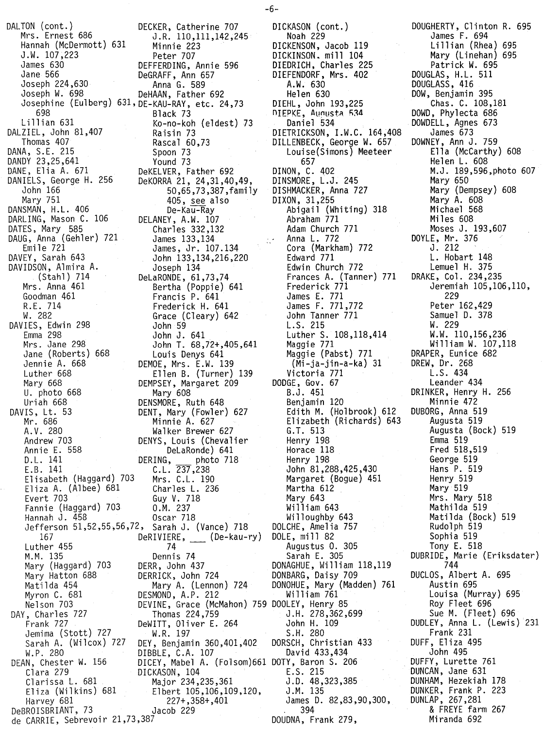DALTON (cont.) DECKER, Catherine 707 DICKASON (cont.) Mrs. Ernest 686 <sub>L.R.</sub> J.R. 110,111,142,245 Noah 229 Hannah (McDermott) 631 Minnie 223 DICKENSON, Jacob 119 J.W. 107,223 Peter 707 DICKINSON. mill 104 James 630 DEFFERDING, Annie 596 DIEDRICH, Charles 225 Jane 566 DeGRAFF, Ann 657 DIEFENDORF, Mrs. 402 Joseph 224,630 Anna G. 589 A.W. 630 Joseph W. 698 DeHAAN, Father 692 Helen 630 Josephine (Eulberg) 631, DE-KAU-RAY, etc. 24,73 DIEHL, John 193,225<br>698 Black 73 DIEPKE, Augusta 534 Lillian 631 Ko-no-koh (eldest) 73 Daniel 534 DALZIEL, John 81,407 Raisin 73 DIETRICKSON, I.W.C. 164,408 Thomas 407 Rascal 60,73 DILLENBECK, George W. 657 DANA, S.E. 215 Spoon 73 Louise(Simons) M<br>
DANDY 23,25,641 Yound 73 657<br>
DANE, Elia A. 671 DeKELVER, Father 692 DINON, C. 402<br>
DANIELS, George H. 256 DeKORRA 21, 24,31,40,49, DINSMORE, L.J. 245 DANE, Elia A. 671 DeKELVER, Father 692 DINON, C. 402 DANIELS, George H. 256 DeKORRA 21, 24,31,40,49, DINSMORE, L.J. 245 DANIELS, George H. 256 DeKORRA 21, 24, 31, 40, 49, DINSMORE, L.J. 245<br>John 166 50,65,73,387,family DISHMACKER, Anna 727<br>Mary 751 405, see also DIXON, 31, 255 Mary 751 405, see also DIXON, 31,255<br>
DANSMAN, H.L. 406 106 De-Kau-Ray Abigail (Whiting) 318<br>
DARLING, Mason C. 106 DELANEY, A.W. 107 Abraham 771 DANSMAN, H.L. 406 De-Kau-Ray Abigail (Whiting) 318 DARLING, Mason C. 106 DELANEY, A.W. 107 Abraham 771 DATES, Mary 585 Charles 332,132 Adam Church 771 DAUG, Anna (Gehler) 721 James 133,134  $\sim$  Anna L. 772 Emile 721 James, Jr. 107.134 Cora (Markham) 772 DAVEY, Sarah 643 John 133,134,216,220 Edward 771 DAVIDSON, Almira A. Joseph 134 Edwin Church 772 Mrs. Anna 461 Bertha (Poppie) 641 Frederick 77i Goodman 461 Francis P. 641<br>R.E. 714 Frederick H. 641 R.E. 714 Frederick H. 641 James F. 771,772 DAVIES, Edwin 298 John 59 John 59 L.S. 215<br>Emma 298 John J. 641 Luther S. 108,118,414 Mrs. Jane 298 John T. 68,72+,405,641 Maggie 771 Jane (Roberts) 668 Louis Denys 641 Maggie (Pabst) 771<br>Jennie A. 668 DEMOE, Mrs. E.W. 139 (Mi-ja-jin-a-ka) 31 Jennie A. 668 DEMOE, Mrs. E.W. 139 (Mi-ja-jin-a-ka) 31 Luther 668 Ellen B. (Turner) 139 Victoria 771 U. photo 668 Mary 608 B.J. 451 Uriah 668 DENSMORE, Ruth 648<br>DENT, Mary (Fowler) Mr. 686 **DENT, Mary (Fowler) 627** Edith M.<br>Mr. 686 Minnie A. 627 Elizabeth (Richards) 64.<br>A.V. 280 Walker Brewer 627 G.T. 513 A.V. 280 Walker Brewer 627 G.T. 513 Andrew 703 DENYS, Louis (Chevalier Henry 198 Luther 455 74 **74 Augustus O. 305** M.M. 135 Dennis 74 Sarah E. 305 Mary (Haggard) 703 DERR, John 437 DONAGHUE, William 118,119<br>Mary Hatton 688 DERRICK, John 724 DONBARG, Daisy 709 Matilda 454 Mary A. (Lennon) 724 DONOHUE, Mary (Madden) 761 DAY, Charles 727 Thomas 224,759 J.H. 278,362,699 Frank 727 DeWITT, 01iver E. 264 John H. 109 Jemima (Stott) 727 W.R. 197<br>Sarah A. (Wilcox) 727 DEY, Benjam DEAN, Chester W. 156 DICEY, Mabel A. (Folsom)661 DOTY, Baron S. 206 UTRESS U. 001 Major 234,235,361 U.D. 48,323,385<br>
Eliza (Wilkins) 681 Elbert 105,106,109,120, U.M. 135<br>
Harvey 681 227+,358+,401 James D. 82,83,90,300,<br>
ROISBRIANT, 73 Jacob 229 . 394 394 de CARRIE, Sebrevoir 21,73,387

698 Black 73 nIEPKE, Augusta 534 DANA, S.E. 215 Spoon 73 Louise(Simons) Meeteer Grace (Cleary) 642<br>John 59 Emma 298 John J. 641 Luther S. 108,118,414 DEMPSEY, Margaret 209 DODGE, Gov.<br>Mary 608 B.J. 451 Annie E. 558 DeLaRonde) 641 Horace 118 D.L. 141 DERING, photo 718 Henry 198 E.B. 141 C.L. 237,238 John 81,288,425,430 Elisabeth (Haggard) 703 Mrs. C.L. 190 Margaret (Bogue) 451 Eliza A. (Albee) 681 Charles L. 236 Martha 612 Evert 703 Guy V. 718 Mary 643 Fannie (Haggard) 703 O.M. 237 William 643 Hannah J. 458 Oscar 718 Willoughby 643 Jefferson 51,52,55,56,72, Sarah J. (Vance) 718 DOLCHE, Amelia 757 167 DeRIVIERE, (De-kau-ry) DOLE, mill 82 DERRICK, John 724 DONBARG, Daisy 709<br>Mary A. (Lennon) 724 DONOHUE, Mary (Madd Myron C. 681 DESMOND, A.P. 212 William 761 Nelson 703 DEVINE, Grace (McMahon) 759 DOOLEY, Henry 85 DEY, Benjamin 360,401,402 DORSCH, Christian 433<br>DIBBLE, C.A. 107 David 433,434 W.P. 280 DIBBLE, C.A. 107 David 433,434 Clara 279 DICKASON, 104 E.S. 215 Clarissa L. 681 Major 234,235,361 J.D. 48,323,385 Eliza (Wilkins) 681 Elbert 105,106,109,120, J.M. 135 DeBROISBRIANT, 73 Jacob 229 394

(Stahl) 714 DeLaRONDE, 61,73,74 Frances A. (Tanner) 771 DRAKE, Col. 234,235 IS, Lt. 53 **DENT, Mary (Fowler) 627** Edith M. (Holbrook) 612<br>Mr. 686 Minnie A. 627 **Elizabeth (Richards) 643** 

DOUGHERTY, Clinton R. 695 James F. 694 Lillian (Rhea) 695 Mary (Linehan) 695 Patrick W. 695 DOUGLAS, H.L. 511 DOUGLASS, 416 DOW, Benjamin 395 Chas. C. 108,181 DOWD, Phylecta 686 DOWDELL, Agnes 673 James 673 DOWNEY, Ann J. 759 Ella (McCarthy) 608 Helen L. 608 M.J. 189,596,photo 607 Mary 650 Mary (Dempsey) 608 Mary A. 608 Michael 568 Miles 608 Moses J. 193,607 DOYLE, Mr. 376 J. 212 L. Hobart 148 Lemuel H. 375 Jeremiah 105,106,110, 229 Peter 162,429 Samuel D. 378 W. 229 W.W. 110,156,236 William W. 107,118 DRAPER, Eunice 682 DREW, Dr. 268 L.S. 434 Leander 434 DRINKER, Henry H. 256 Minnie 472 DUBORG, Anna 519 Augusta 519 Augusta (Bock) 519 Emma 519 Fred 518,519 George 519 Hans P. 519 Henry 519 Mary 519 Mrs. Mary 518 Mathilda<sup>519</sup> Matilda (Bock) 519 Rudolph 519 Sophia 519 Tony E. 518 DUBRIDE, Marie (Eriksdater) 744 DUCLOS, Albert A. 695 Austin 695 Louisa (Murray) 695 Roy Fleet 696 Sue M. (Fleet) 696 DUDLEY, Anna L. (Lewis) 231 Frank 231 DUFF, Eliza 495 John 495 DUFFY, Lurette 761 DUNCAN, Jane 631 DUNHAM, Hezekiah 178 DUNKER, Frank P. 223 DUNLAP, 267,281 & FREYE farm 267 Miranda 692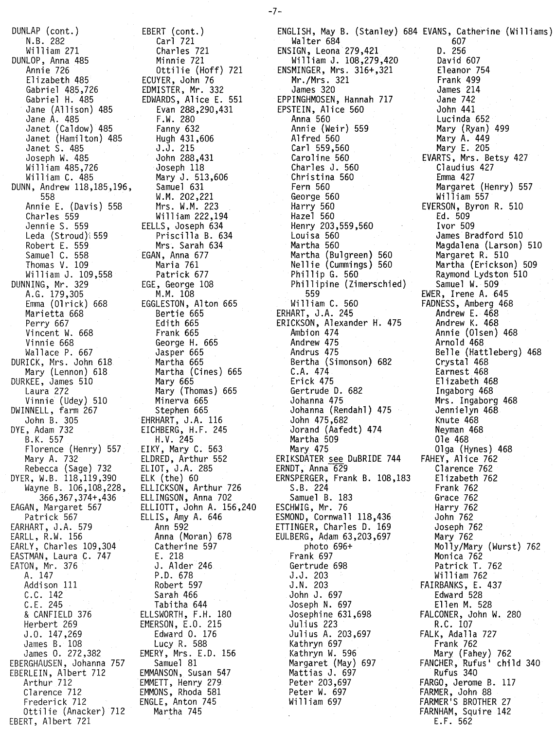DUNLAP (cont.) N.B. 282 Will iam 271 DUNLOP, Anna 485 Annie 726 Elizabeth 485 Gabriel 485,726 Gabriel H. 485 Jane (Allison) 485 Jane A. 485 Janet (Caldow) 485 Janet (Hamilton) 485 Janet S. 485 Joseph W. 485 William 485,726 William C. 485 DUNN, Andrew 118,185,196, 558 Annie E. (Davis) 558 Charles 559 Jennie S. 559 Leda (Stroud) 559 Robert E. 559 Samuel C. 558 Thomas V. 109 William J. 109,558 DUNNING, Mr. 329 A.G. 179,305 Emma (Olrick) 668 Marietta 668 Perry 667 Vincent W. 668 Vinnie 668 Wa11ace P. 667 DURICK, Mrs. John 618 Mary (Lennon) 618 DURKEE, James 510 Laura 272 Vinnie (Udey) 510 DWINNELL, farm 267 John B. 305 DYE, Adam 732 B.K. 557 Florence (Henry) 557 Mary A. 732 Rebecca (Sage) 732 DYER, W.B. 118,119,390 ~Jayne B. 106,108,228, 366,367,374+,436 EAGAN, Margaret 567 Patrick 567 EARHART, J.A. 579 EARLL, R.W. 156 EARLY, Charles 109,304 EASTMAN, Laura C. 747 EATON, Mr. 376 A. 147 Addison 111 C.C. 142 C.E. 245 & CANFIELD 376 Herbert 269 J.0.147,269 James B. 108 James O. 272,382 EBERGHAUSEN, Johanna 757 EBERLEIN, Albert 712 Arthur 712 Clarence 712 Frederick 712 Ottilie (Anacker) 712 EBERT, Albert 721

EBERT (cont.) Carl 721 Charles 721 Minnie 721<br>Ottilie (Hoff) 721 Ottilie (Hoff) 721 ECUYER, John 76 EDMISTER, Mr. 332 EDWARDS, Alice E. 551 Evan 288,290,431 F.W. 280 Fanny 632 Hugh 431,606 J.J. 215 John 288,431 Joseph 118<br>Marv J. 513,606 Mary J. 513,606 Samuel 631 W.M. 202,221 ~1rs. W.M. 223 William 222,194 EELLS, Joseph 634 Priscilla B. 634 Mrs. Sarah 634 EGAN, Anna 677 Maria 761 Patrick 677 EGE, George 108<br>M.M. 108 M.M. 108 EGGLESTON, Alton 665 Bertie 665 Edith 665 Frank 665 George H. 665 Jasper 665 Martha 665 Martha (Cines) 665 Mary 665 Mary (Thomas) 665 Minerva 665 Stephen 665 EHRHART, J.A. 116 EICHBERG, H.F. 245 H.V. 245 EIKY, Mary C. 563 ELDRED, Arthur 552 ELIOT, J.A. 285 ELK (the) 60 ELLICKSON, Arthur 726 ELLINGSON, Anna 702 ELLIOTT, John A. 156,240 ELLIS, Amy A. 646 Ann 592 Anna (Moran) 678 Catherine 597 E. 218 J. Alder 246 P.D. 678 Robert 597 Sarah 466 Tabitha 644 ELLSWORTH, F.H. 180 EMERSON, E.O. 215 Edward O. 176 Lucy R. 588 EMERY, Mrs. E.D. 156 Samuel 81 EMMANSON, Susan 547 EMMETT, Henry 279 EMMONS, Rhoda 581 ENGLE, Anton 745 Martha 745

ENGLISH, May B. (Stanley) 684 EVANS, Catherine (Williams) Walter 684 607<br>IGN, Leona 279,421 D. 256 ENSIGN, Leona 279,421 D. 256<br>William J. 108,279,420 David 607 William J. 108,279,420 David 607<br>MINGER, Mrs. 316+,321 Eleanor 754 ENSMINGER, Mrs. 316+,321 Eleanor 7!<br>Mr./Mrs. 321 Frank 499 Mr./Mrs. 321 Frank 499<br>James 320 James 214 James 320 James 214 EPPINGHMOSEN, Hannah 717 Jane 742 EPSTEIN, Alice 560 John 441 Annie (Weir) 559<br>Alfred 560 Alfred 560 Mary A. 449<br>Carl 559,560 Mary E. 205 Carl 559,560 Mary E. 205<br>Caroline 560 **EVARTS, Mrs. B** Charles J. 560 Claudius 427 Christina 560 Emma 427 Fern 560 Margaret (Henry) 557 George 560 William 557 Hazel 560 Ed. 509 Henry 203,559,560 Ivor 509 Louisa 560 James Bradford 510 Martha 560 Magdalena (Larson) 510 Martha (Bulgreen) 560 Margaret R. 510 Nellie (Cummings) 560 Martha (Erickson) 509 Phillip G. 560 Raymond Lydston 510 Phillipine (Zimerschied) Samuel W. 509<br>559 EWER, Irene A. 6 559 EWER, Irene A. 645 er with all c. 500<br>ERHART, J.A. 245 **Andrew E. 468**<br>ERICKSON, Alexander H. 475 Andrew K. 468 ERICKSON, Alexander H. 475<br>Ambion 474 Ambion 474 Annie (Olsen) 468 Andrew 475 **Arnold 468**<br>Andrus 475 **Andrew Belle** (Hat Bertha (Simonson) 682 Crystal 468 C.A. 474 Earnest 468 Gertrude D. 682 Ingaborg 468 Johanna (Rendahl) 475 Jennielyn 468 John 475,682 Knute 468 Jorand (Aafedt) 474 Neyman 468 Martha 509<br>Mary 475 ERIKSDATER see DuBRIDE 744 ERNDT, Anna 629 Clarence 762 ERNSPERGER, Frank B. 108,183 Elizabeth 762 S.B. 224 Frank 762 Samuel B. 183 Grace 762 ESCHWIG, Mr. 76 ESMOND, Cornwall 118,436 John 762 ETTINGER, Charles D. 169 Joseph 762 EULBERG, Adam 63,203,697 Mary 762 Frank 697 Monica 762 Gertrude 698 Patrick T. 762 J.J. 203 William 762 John J. 697 Edward 528 Joseph N. 697 Ellen M. 528 Josephine 631,698 FALCONER, John W. 280 Julius 223 R.C. 107 Julius A. 203,697 FALK, Adalla 727 Kathryn 697 Frank 762 Kathryn W. 596 Mary (Fahey) 762 Margaret (May) 697 FANCHER, Rufus' child 340 Mattias J. 697 Rufus 340 Peter 203,697 FARGO, Jerome B. 117 Peter W. 697 FARMER, John 88 William 697 FARMER'S BROTHER 27

 $-7-$ 

Lucinda 652<br>Mary (Ryan) 499 EVARTS, Mrs. Betsy 427<br>Claudius 427 EVERSON, Byron R. 510<br>Ed. 509 FADNESS, Amberg 468 Belle (Hattleberg) 468 Elizabeth 468 Mrs. Ingaborg 468 Olga (Hynes) 468<br>FAHEY, Alice 762 photo 696+ Molly/Mary (Wurst) 762 FAIRBANKS, E. 437 FARNHAM, Squire 142 E.F. 562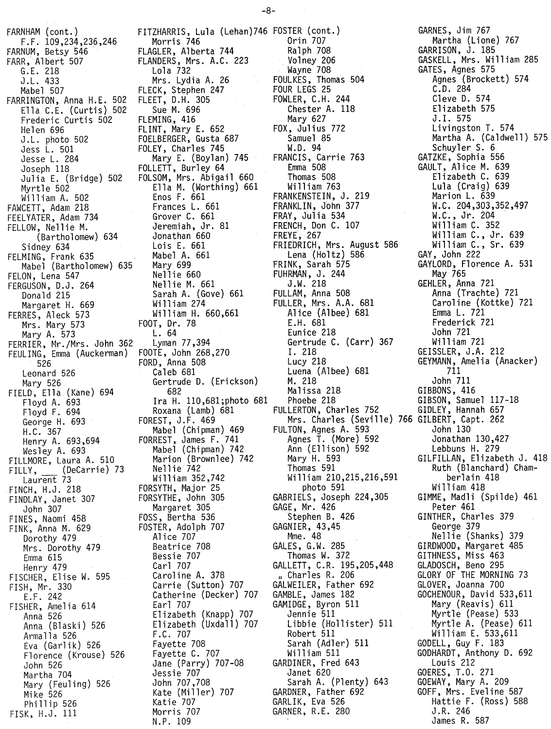FARNHAM (cont.) F.F. 109,234,236,246 FARNUM, Betsy 546 FARR, Albert 507 G.E. 218 J.L. 433 Mabel 507 FARRINGTON, Anna H.E. 502 Ella C.E. (Curtis) 502 Frederic Curtis 502 Helen 696 J.L. photo 502 Jess L. 501 Jesse L. 284 Joseph 118 Julia E. (Bridge) 502 Myrtle 502 William A. 502 FAWCETT, Adam 218 FEELYATER, Adam 734 FELLOW, Nellie M. (Bartholomew) 634 Sidney 634 FELMING, Frank 635 Mabel (Bartholomew) 635 FELON, Lena 547 FERGUSON, D.J. 264 Donald 215 Margaret H. 669 FERRES, Aleck 573 Mrs. Mary 573 Mary A. 573 FERRIER, Mr./Mrs. John 362 FEULING, Emma (Auckerman) 526 Leonard 526 Mary 526 FIELD, Ella (Kane) 694 Floyd A. 693 Floyd F. 694 George H. 693 H.C. 367 Henry A. 693,694 Wesley A. 693 FILLMORE, Laura A. 510 FILLY, (DeCarrie) 73 Laurent 73 FINCH, H.J. 218 FINDLAY, Janet 307 John 307 FINES, Naomi 458 FINK, Anna M. 629 Dorothy 479 Mrs. Dorothy 479 Emma 615 Henry 479 FISCHER, Elise W. 595 FISH, Mr. 330 E.F. 242 FISHER, Amelia 614 Anna 526 Anna (Blaski) 526 Armalla 526 Eva (Garlik) 526 Florence (Krouse) 526 John 526 Martha 704 Mary (Feuling) 526 Mike 526 Phillip 526 FISK, H.J. 111

FITZHARRIS, Lula (Lehan)746 FOSTER (cont.) Morris 746 FLAGLER, Alberta 744 FLANDERS, Mrs. A.C. 223 Lola 732 Mrs. Lydia A. 26 FLECK, Stephen 247 FLEET, D.H. 305 Sue M. 696 FLEMING, 416 FLINT, Mary E. 652 FOELBERGER, Gusta 687 FOLEY, Charles 745 Mary E. (Boylan) 745 FOLLETT, Burley 64 FOLSOM, Mrs. Abigail 660 Ella M. (Worthing) 661 Enos F. 661 Frances L. 661 Grover C. 661 Jeremiah, Jr. 81 Jonathan 660 Lois E. 661 Mabel A. 661 Mary 699 Nell ie 660 Nellie M. 661 Sarah A. (Gove) 661 William 274 William H. 660,661 FOOT, Dr. 78 L. 64 Lyman 77 ,394 FOOTE, John 268,270 FORD, Anna 508 Caleb 681 Gertrude D. (Erickson) 682 Ira H. 110,681;photo 681 Roxana (Lamb) 681 FOREST, J.F. 469 Mabel (Chipman) 469 FORREST, James F. 741 Mabel (Chipman) 742 Marion (Brownlee) 742 Nellie 742 William 352,742 FORSYTH, Major 25 FORSYTHE, John 305 Margaret 305 FOSS, Bertha 536 FOSTER, Adolph 707 Alice 707 Beatrice 708 Bessie 707 Carl 707 Caroline A. 378 Carrie (Sutton) 707 Catherine (Decker) 707 Earl 707 Elizabeth (Knapp) 707 Elizabeth (Uxdall) 707 F.C; 707 Fayette 708 Fayette C. 707 Jane (Parry) 707-08 Jessie 707 John 707,708 Kate (Miller) 707 Katie 707 Morris 707 N.P. 109

Orin 707 Ralph 708 Volney 206 Wayne 708 FOULKES, Thomas 504 FOUR LEGS 25 FOWLER, C.H. 244 Chester A. 118 Mary 627 FOX, Julius 772 Samuel 85 W.O. 94 FRANCIS, Carrie 763 Emma 508 Thomas 508 Wi 11iam 763 FRANKENSTEIN, J. 219 FRANKLIN, John 377 FRAY, Julia 534 FRENCH, Don C. 107 FREYE, 267 FRIEDRICH, Mrs. August 586 Lena {Holtz) 586 FRINK, Sarah 575 FUHRMAN, J. 244 J.W. 218 FULLAM, Anna 508 FULLER, Mrs. A.A. 681 Alice (Albee) 681 E.H. 681 Eunice 218 Gertrude C. (Carr) 367 I. 218 Lucy 218 Luena (Albee) 681 M. 218 Malissa 218 Phoebe 218 FULLERTON, Charles 752 Mrs. Charles (Seville) FULTON, Agnes A. 593 Agnes T. (More) 592 Ann (Ellison) 592 Mary H. 593 Thomas 591 William 210,215,216,591 photo 591 GABRIELS, Joseph 224,305 GAGE, Mr. 426 Stephen B. 426 GAGNIER, 43,45 Mme. 48 GALES, G.W. 285 Thomas W. 372 GALLETT, C.R. 195,205,448 " Charles R. 206 GALWEILER, Father 692 GAMBLE, James 182 GAMIDGE, Byron 511 Jennie 511 Libbie (Hollister) 511 Robert 511 Sarah (Adler) 511 William 511 GARDINER, Fred 643 Janet 620 Sarah A. (Plenty) 643 GARDNER, Father 692 GARLIK, Eva 526 GARNER, R.E. 280

GARNES, Jim 767 Martha (Lione) 767 GARRISON, J. 185 GASKELL, Mrs. William 285 GATES, Agnes 575 Agnes (Brockett) 574 C.D. 284 Cleve D. 574 Elizabeth 575 J.1. 575 Livingston T. 574 Martha A. (Caldwell) 575 Schuyler S. 6 GATZKE, Sophia 556 GAULT, Alice M. 639 Elizabeth C. 639 Lula (Craig) 639 Marion L. 639 W.C. 204,303,352,497 W.C., Jr. 204 . William C. 352 William C., Jr. 639 William C., Sr. 639 GAY, John 222 GAYLORD, Florence A. 531 May 765 GEHLER, Anna 721 Anna (Trachte) 721 Caroline (Kottke) 721 Emma L. 721 Frederick 721 John 721 Will iam 721 GEISSLER, J.A. 212 GEYMANN, Amelia (Anacker) 711 John 711 GIBBONS, 416 GIBSON, Samuel 117-18 GIDLEY, Hannah 657 766 GILBERT, Capt. 262 John 130 Jonathan 130,427 Lebbuns H. 279 GILFILLAN, Elizabeth J. 418 Ruth (Blanchard) Chamberlain 418 William 418 GIMME, Madli (Spilde) 461 Peter 461 GINTHER, Charles 379 George 379 Nellie (Shanks) 379 GIRDWOOD, Margaret 485 GITHNESS, Miss 463 GLADOSCH, Beno 295 GLORY OF THE MORNING 73 GLOVER, Joanna 700 GOCHENOUR, David 533,611 Mary (Reavis) 611 Myrtle (Pease) 533 Myrtle A. (Pease) 611 William E. 533,611 GODELL, Guy F. 183 GODHARDT, Anthony D. 692 Louis 212 GOERES, T.O. 271 GOEWAY, Mary A. 209 GOFF, Mrs. Eveline 587 Hattie F. (Ross) 588 J.R. 246 James R. 587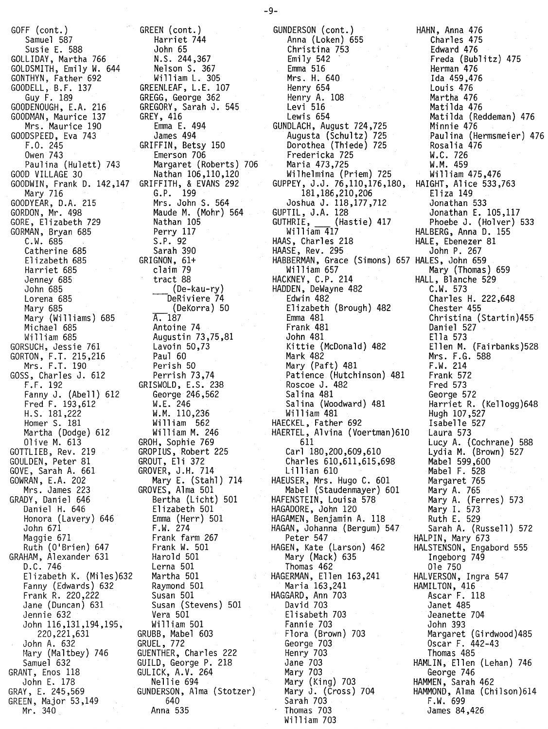GOFF (cont.) Samuel 587 Susie E. 588 GOLLIDAY, Martha 766 GOLDSMITH, Emily W. 644 GUNTHIN, FALHET 692 GOODELL, B.F. 137 Guy F. 189 GOODENOUGH, E.A. 216 GOODMAN, Maurice 137 Mrs. Maurice 190 GOODSPEED, Eva 743 F.O. 245 Owen 743 Paulina (Hulett) 743 GOOD VILLAGE 30 GOODWIN, Frank D. 142,147 Mary 716 GOODYEAR, D.A. 215 GORDON, Mr. 498 GORE, Elizabeth 729 GORMAN, Bryan 685 C.W. 685 Catherine 685 Elizabeth 685 Harriet 685 Jenney 685 John 685 Lorena 685 Mary 685 Mary (Williams) 685 Michael 685 William 685 GORSUCH, Jessie 761 GORTON, F.T. 215,216 Mrs. F.T. 190 GOSS, Charles J. 612 F. F. 192 Fanny J. (Abell) 612 Fred F. 193,612 H.S. 181,222 Homer S. 181 Martha (Dodge) 612 Olive M. 613 GOTTLIEB, Rev. 219 GOULDEN, Peter 81 GOVE, Sarah A. 661 GOWRAN, E.A. 202 Mrs. James 223 GRADY, Daniel 646 Daniel H. 646 Honora (Lavery) 646 John 671 Maggie 671 Ruth (O'Brien) 647 GRAHAM, Alexander 631 D.C. 746 Elizabeth K. (Miles)632 Fanny (Edwards) 632 Frank R. 220,222 Jane (Duncan) 631 Jennie 632 John 116,131,194,195, 220,221,631 John A. 632 Mary (Maltbey) 746 Samuel 632 GRANT, Enos 118 John E. 178 GRAY, E. 245,569 GREEN, Major 53,149 Mr. 340

GREEN (cont.) Harriet 744 John 65 N.S. 244,367 Nelson S. 367 William L. 305 GREENLEAF, L.E. 107 GREGG, George 362 GREGORY, Sarah J. 545 GREY, 416 Emma E. 494 James 494 GRIFFIN, Betsy 150 Emerson 706 Margaret (Roberts) 706 Nathan 106,110,120 GRIFFITH, & EVANS <sup>292</sup> G.P. 199 Mrs. John S. 564 Maude M. (Mohr) 564 Nathan 105 Perry 117 S.P. 92 Sarah 390 GRIGNON, 61+ claim 79 tract 88 (De-kau-ry) -DeRiviere 74 (DeKorra) 50 A. 187 Antoine 74 Augustin 73,75,81 Lavoin 50,73 Paul 60 Perish 50 Perrish 73,74 GRISWOLD, E.S. 238 George 246,562 W.E. 246 W.M. 110,236 William 562 William M. 246 GROH, Sophie 769 GROPIUS, Robert 225 GROUT, El i 372 GROVER, J.H. 714 Mary E. (Stahl) 714 GROVES, Alma 501 Bertha (Licht) 501 Elizabeth 501 Emma (Herr) 501 F.W. 274 Frank farm 267 Frank W. 501 Harold 501 Lerna 501 Martha 501 Raymond 501 Susan 501 Susan (Stevens) 501 Vera 501 Wi 11 iam 501 GRUBB, Mabel 603 GRUEL, 772 GUENTHER, Charles 222 GUILD, George P. 218 GULICK, A.V. 264 Nell ie 694 GUNDERSON, Alma (Stotzer) 640 Anna 535

GUNDERSON (cont.) Anna (Loken) 655 Christina 753 Emily 542 Emma 516 Mrs. H. 640 Henry 654 Henry A. 108 Levi 516 Lewis 654 GUNDLACH, August 724,725 Augusta (Schultz) 725 Dorothea (Thiede) 725 Fredericka 725 Maria 473,725 Wilhelmina (Priem) 725 GUPPEY, J.J. 76,110,176,180, 181,186,210,206 Joshua J. 118,177,712 GUPTIL, J.A. 128 GUTHRIE, (Hastie) 417  $W1111am 417$ HAAS, Charles 218 HAASE, Rev. 295 HABBERMAN, Grace (Simons) 657 HALES, John 659 William 657 HACKNEY, C.P. 214 HADDEN, DeWayne 482 Edwin 482 Elizabeth (Brough) 482 Emma 481 Frank 481 John 481 Kittie (McDonald) 482 Mark 482 Mary (Paft) 481 Patience (Hutchinson) 481 Roscoe J. 482 Salina 481 Salina (Woodward) 481 Will iam 481 HAECKEL, Father 692 HAERTEL, Alvina (Voertman)610 611 Carl 180,200,609,610 Charles 610,611,615,698 Lillian 610 HAEUSER, Mrs. Hugo C. 601 Mabel (Staudenmayer) 601 HAFENSTEIN, Louisa 578 HAGADORE, John 120 HAGAMEN, Benjamin A. 118 HAGAN, Johanna (Bergum) 547 Peter 547 HAGEN, Kate (Larson) 462 Mary (Mack) 635 Thomas 462 HAGERMAN, Ellen 163,241 Maria 163,241 HAGGARD, Ann 703 David 703 Elisabeth 703 Fannie 703 Flora (Brown) 703 George 703 Henry 703 Jane 703 Mary 703 Mary (King) 703 Mary J. (Cross) 704 Sarah 703 Thomas 703 William 703

HAHN, Anna 476 Charles 475 Edward 476 Freda (Bublitz) 475 Herman 476 Ida 459,476 Louis 476 Martha 476 Matilda 476 Matilda (Reddeman) 476 Minnie 476 Paulina (Hermsmeier) 476 Rosalia 476 W.C. 726 W.M. 459 William 475,476 HAIGHT, Alice 533,763 Eliza 149 Jonathan 533 Jonathan E. 105,117 Phoebe J. (Holver) 533 HALBERG, Anna D. 155 HALE, Ebenezer 81 John P. 267 Mary (Thomas) 659 HALL, Blanche 529 C.W. 573 Charles H. 222,648 Chester 455 Christina (Startin)455 Daniel 527 Ella 573 Ellen M. (Fairbanks)528 Mrs. F.G. 588 F .W. 214 Frank 572 Fred 573 George 572 Harriet R. (Kellogg)648 Hugh 107,527 Isabelle 527 Laura 573 Lucy A. (Cochrane) 588 Lydia M. (Brown) 527 Mabel 599,600 Mabel F. 528 Margaret 765 Mary A. 765 Mary A. (Ferres) 573 Mary 1. 573 Ruth E. 529 Sarah A. (Russell) 572 HALPIN, Mary 673 HALSTENSON, Engabord 555 Ingeborg 749 Ole 750 HALVERSON, Ingra 547 HAMILTON, 416 Ascar F. 118 Janet 485 Jeanette 704 John 393 Margaret (Girdwood)485 Oscar F. 442-43 Thomas 485 HAMLIN, Ellen (Lehan) 746 George 746 HAMMEN, Sarah 462 HAMMOND, Alma (Chilson)614 F.W. 699 James 84,426